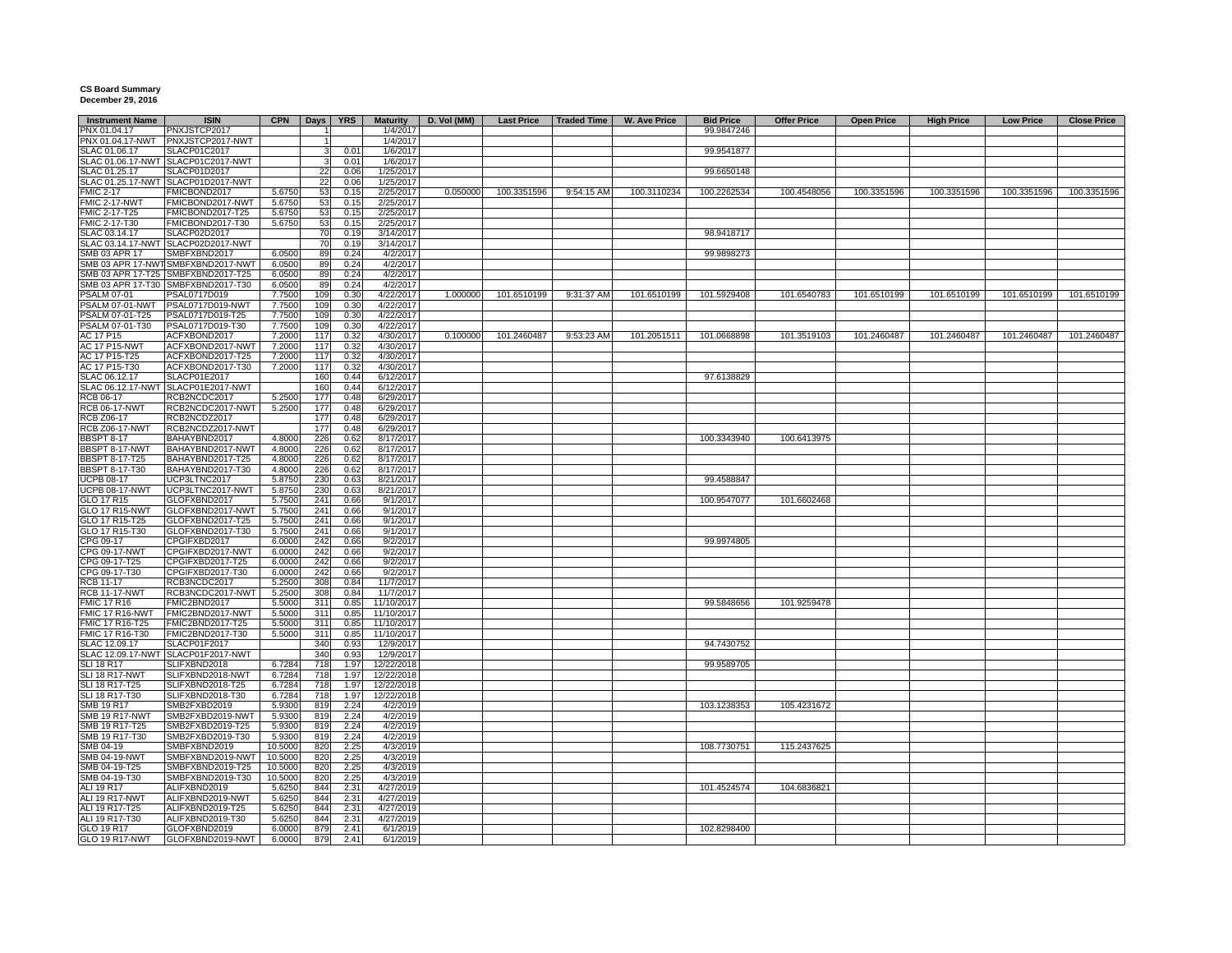## **CS Board Summary December 29, 2016**

| <b>Instrument Name</b> | <b>ISIN</b>                        | <b>CPN</b> |                | Days   YRS | <b>Maturity</b> | D. Vol (MM) | <b>Last Price</b> | Traded Time | W. Ave Price | <b>Bid Price</b> | <b>Offer Price</b> | <b>Open Price</b> | <b>High Price</b> | <b>Low Price</b> | <b>Close Price</b> |
|------------------------|------------------------------------|------------|----------------|------------|-----------------|-------------|-------------------|-------------|--------------|------------------|--------------------|-------------------|-------------------|------------------|--------------------|
| PNX 01.04.17           | PNXJSTCP2017                       |            | 11             |            | 1/4/2017        |             |                   |             |              | 99.9847246       |                    |                   |                   |                  |                    |
|                        | PNX 01.04.17-NWT PNXJSTCP2017-NWT  |            | 1              |            | 1/4/2017        |             |                   |             |              |                  |                    |                   |                   |                  |                    |
| SLAC 01.06.17          | SLACP01C2017                       |            | 3 <sup>1</sup> | 0.01       | 1/6/2017        |             |                   |             |              | 99.9541877       |                    |                   |                   |                  |                    |
|                        | SLAC 01.06.17-NWT SLACP01C2017-NWT |            | 3 <sup>1</sup> | 0.01       | 1/6/2017        |             |                   |             |              |                  |                    |                   |                   |                  |                    |
| SLAC 01.25.17          | SLACP01D2017                       |            | 22             | 0.06       | 1/25/2017       |             |                   |             |              | 99.6650148       |                    |                   |                   |                  |                    |
|                        | SLAC 01.25.17-NWT SLACP01D2017-NWT |            | 22             | 0.06       | 1/25/2017       |             |                   |             |              |                  |                    |                   |                   |                  |                    |
| <b>FMIC 2-17</b>       | FMICBOND2017                       | 5.6750     | 53             | 0.15       | 2/25/2017       | 0.050000    | 100.3351596       | 9:54:15 AM  | 100.3110234  | 100.2262534      | 100.4548056        | 100.3351596       | 100.3351596       | 100.3351596      | 100.3351596        |
| FMIC 2-17-NWT          | FMICBOND2017-NWT                   | 5.6750     | 53             | 0.15       | 2/25/2017       |             |                   |             |              |                  |                    |                   |                   |                  |                    |
|                        |                                    |            |                |            |                 |             |                   |             |              |                  |                    |                   |                   |                  |                    |
| FMIC 2-17-T25          | FMICBOND2017-T25                   | 5.6750     | 53             | 0.15       | 2/25/2017       |             |                   |             |              |                  |                    |                   |                   |                  |                    |
| FMIC 2-17-T30          | FMICBOND2017-T30                   | 5.6750     | 53             | 0.15       | 2/25/2017       |             |                   |             |              |                  |                    |                   |                   |                  |                    |
| SLAC 03.14.17          | SLACP02D2017                       |            | 70             | 0.19       | 3/14/2017       |             |                   |             |              | 98.9418717       |                    |                   |                   |                  |                    |
|                        | SLAC 03.14.17-NWT SLACP02D2017-NWT |            | 70             | 0.19       | 3/14/2017       |             |                   |             |              |                  |                    |                   |                   |                  |                    |
| SMB 03 APR 17          | SMBFXBND2017                       | 6.0500     | 89             | 0.24       | 4/2/2017        |             |                   |             |              | 99.9898273       |                    |                   |                   |                  |                    |
|                        | SMB 03 APR 17-NWT SMBFXBND2017-NWT | 6.0500     | 89             | 0.24       | 4/2/2017        |             |                   |             |              |                  |                    |                   |                   |                  |                    |
|                        | SMB 03 APR 17-T25 SMBFXBND2017-T25 | 6.0500     | 89             | 0.24       | 4/2/2017        |             |                   |             |              |                  |                    |                   |                   |                  |                    |
|                        | SMB 03 APR 17-T30 SMBFXBND2017-T30 | 6.0500     | 89             | 0.24       | 4/2/2017        |             |                   |             |              |                  |                    |                   |                   |                  |                    |
| <b>PSALM 07-01</b>     | PSAL0717D019                       | 7.7500     | 109            | 0.30       | 4/22/2017       | 1.000000    | 101.6510199       | 9:31:37 AM  | 101.6510199  | 101.5929408      | 101.6540783        | 101.6510199       | 101.6510199       | 101.6510199      | 101.6510199        |
|                        | PSALM 07-01-NWT PSAL0717D019-NWT   | 7.7500     | 109            | 0.30       | 4/22/2017       |             |                   |             |              |                  |                    |                   |                   |                  |                    |
| PSALM 07-01-T25        | PSAL0717D019-T25                   | 7.7500     | 109            | 0.30       | 4/22/2017       |             |                   |             |              |                  |                    |                   |                   |                  |                    |
| PSALM 07-01-T30        | PSAL0717D019-T30                   | 7.7500     | 109            | 0.30       | 4/22/2017       |             |                   |             |              |                  |                    |                   |                   |                  |                    |
| AC 17 P15              | ACFXBOND2017                       | 7.2000     | 117            | 0.32       | 4/30/2017       | 0.100000    | 101.2460487       | 9:53:23 AM  | 101.2051511  | 101.0668898      | 101.3519103        | 101.2460487       | 101.2460487       | 101.2460487      | 101.2460487        |
|                        |                                    |            |                |            |                 |             |                   |             |              |                  |                    |                   |                   |                  |                    |
| <b>AC 17 P15-NWT</b>   | ACFXBOND2017-NWT                   | 7.2000     | 117            | 0.32       | 4/30/2017       |             |                   |             |              |                  |                    |                   |                   |                  |                    |
| AC 17 P15-T25          | ACFXBOND2017-T25                   | 7.2000     | 117            | 0.32       | 4/30/2017       |             |                   |             |              |                  |                    |                   |                   |                  |                    |
| AC 17 P15-T30          | ACFXBOND2017-T30                   | 7.2000     | 117            | 0.32       | 4/30/2017       |             |                   |             |              |                  |                    |                   |                   |                  |                    |
| SLAC 06.12.17          | SLACP01E2017                       |            | 160            | 0.44       | 6/12/2017       |             |                   |             |              | 97.6138829       |                    |                   |                   |                  |                    |
|                        | SLAC 06.12.17-NWT SLACP01E2017-NWT |            | 160            | 0.44       | 6/12/2017       |             |                   |             |              |                  |                    |                   |                   |                  |                    |
| RCB 06-17              | RCB2NCDC2017                       | 5.2500     | 177            | 0.48       | 6/29/2017       |             |                   |             |              |                  |                    |                   |                   |                  |                    |
| <b>RCB 06-17-NWT</b>   | RCB2NCDC2017-NWT                   | 5.2500     | 177            | 0.48       | 6/29/2017       |             |                   |             |              |                  |                    |                   |                   |                  |                    |
| RCB Z06-17             | RCB2NCDZ2017                       |            | 177            | 0.48       | 6/29/2017       |             |                   |             |              |                  |                    |                   |                   |                  |                    |
| <b>RCB Z06-17-NWT</b>  | RCB2NCDZ2017-NWT                   |            | 177            | 0.48       | 6/29/2017       |             |                   |             |              |                  |                    |                   |                   |                  |                    |
| <b>BBSPT 8-17</b>      | BAHAYBND2017                       | 4.8000     | 226            | 0.62       | 8/17/2017       |             |                   |             |              | 100.3343940      | 100.6413975        |                   |                   |                  |                    |
|                        |                                    |            |                |            |                 |             |                   |             |              |                  |                    |                   |                   |                  |                    |
| BBSPT 8-17-NWT         | BAHAYBND2017-NWT                   | 4.8000     | 226            | 0.62       | 8/17/2017       |             |                   |             |              |                  |                    |                   |                   |                  |                    |
| <b>BBSPT 8-17-T25</b>  | BAHAYBND2017-T25                   | 4.8000     | 226            | 0.62       | 8/17/2017       |             |                   |             |              |                  |                    |                   |                   |                  |                    |
| <b>BBSPT 8-17-T30</b>  | BAHAYBND2017-T30                   | 4.8000     | 226            | 0.62       | 8/17/2017       |             |                   |             |              |                  |                    |                   |                   |                  |                    |
| <b>UCPB 08-17</b>      | UCP3LTNC2017                       | 5.8750     | 230            | 0.63       | 8/21/2017       |             |                   |             |              | 99.4588847       |                    |                   |                   |                  |                    |
| <b>UCPB 08-17-NWT</b>  | UCP3LTNC2017-NWT                   | 5.8750     | 230            | 0.63       | 8/21/2017       |             |                   |             |              |                  |                    |                   |                   |                  |                    |
| GLO 17 R15             | GLOFXBND2017                       | 5.7500     | 241            | 0.66       | 9/1/2017        |             |                   |             |              | 100.9547077      | 101.6602468        |                   |                   |                  |                    |
| <b>GLO 17 R15-NWT</b>  | GLOFXBND2017-NWT                   | 5.7500     | 241            | 0.66       | 9/1/2017        |             |                   |             |              |                  |                    |                   |                   |                  |                    |
| GLO 17 R15-T25         | GLOFXBND2017-T25                   | 5.7500     | 241            | 0.66       | 9/1/2017        |             |                   |             |              |                  |                    |                   |                   |                  |                    |
| GLO 17 R15-T30         | GLOFXBND2017-T30                   | 5.7500     | 241            | 0.66       | 9/1/2017        |             |                   |             |              |                  |                    |                   |                   |                  |                    |
| CPG 09-17              | CPGIFXBD2017                       | 6.0000     | 242            | 0.66       | 9/2/2017        |             |                   |             |              | 99.9974805       |                    |                   |                   |                  |                    |
| CPG 09-17-NWT          | CPGIFXBD2017-NWT                   | 6.0000     | 242            | 0.66       | 9/2/2017        |             |                   |             |              |                  |                    |                   |                   |                  |                    |
| CPG 09-17-T25          | CPGIFXBD2017-T25                   | 6.0000     | 242            | 0.66       | 9/2/2017        |             |                   |             |              |                  |                    |                   |                   |                  |                    |
|                        |                                    |            |                |            |                 |             |                   |             |              |                  |                    |                   |                   |                  |                    |
| CPG 09-17-T30          | CPGIFXBD2017-T30                   | 6.0000     | 242            | 0.66       | 9/2/2017        |             |                   |             |              |                  |                    |                   |                   |                  |                    |
| <b>RCB 11-17</b>       | RCB3NCDC2017                       | 5.2500     | 308            | 0.84       | 11/7/2017       |             |                   |             |              |                  |                    |                   |                   |                  |                    |
| <b>RCB 11-17-NWT</b>   | RCB3NCDC2017-NWT                   | 5.2500     | 308            | 0.84       | 11/7/2017       |             |                   |             |              |                  |                    |                   |                   |                  |                    |
| <b>FMIC 17 R16</b>     | FMIC2BND2017                       | 5.5000     | 311            | 0.85       | 11/10/2017      |             |                   |             |              | 99.5848656       | 101.9259478        |                   |                   |                  |                    |
| <b>FMIC 17 R16-NWT</b> | FMIC2BND2017-NWT                   | 5.5000     | 311            | 0.85       | 11/10/2017      |             |                   |             |              |                  |                    |                   |                   |                  |                    |
| FMIC 17 R16-T25        | FMIC2BND2017-T25                   | 5.5000     | 311            | 0.85       | 11/10/2017      |             |                   |             |              |                  |                    |                   |                   |                  |                    |
| FMIC 17 R16-T30        | FMIC2BND2017-T30                   | 5.5000     | 311            | 0.85       | 11/10/2017      |             |                   |             |              |                  |                    |                   |                   |                  |                    |
| SLAC 12.09.17          | SLACP01F2017                       |            | 340            | 0.93       | 12/9/2017       |             |                   |             |              | 94.7430752       |                    |                   |                   |                  |                    |
|                        | SLAC 12.09.17-NWT SLACP01F2017-NWT |            | 340            | 0.93       | 12/9/2017       |             |                   |             |              |                  |                    |                   |                   |                  |                    |
| <b>SLI 18 R17</b>      | SLIFXBND2018                       | 6.7284     | 718            | 1.97       | 12/22/2018      |             |                   |             |              | 99.9589705       |                    |                   |                   |                  |                    |
| SLI 18 R17-NWT         | SLIFXBND2018-NWT                   | 6.7284     | 718            | 1.97       | 12/22/2018      |             |                   |             |              |                  |                    |                   |                   |                  |                    |
|                        |                                    | 6.7284     | 718            |            |                 |             |                   |             |              |                  |                    |                   |                   |                  |                    |
| SLI 18 R17-T25         | SLIFXBND2018-T25                   |            |                | 1.97       | 12/22/2018      |             |                   |             |              |                  |                    |                   |                   |                  |                    |
| SLI 18 R17-T30         | SLIFXBND2018-T30                   | 6.7284     | 718            | 1.97       | 12/22/2018      |             |                   |             |              |                  |                    |                   |                   |                  |                    |
| SMB 19 R17             | SMB2FXBD2019                       | 5.9300     | 819            | 2.24       | 4/2/2019        |             |                   |             |              | 103.1238353      | 105.4231672        |                   |                   |                  |                    |
| <b>SMB 19 R17-NWT</b>  | SMB2FXBD2019-NWT                   | 5.9300     | 819            | 2.24       | 4/2/2019        |             |                   |             |              |                  |                    |                   |                   |                  |                    |
| SMB 19 R17-T25         | SMB2FXBD2019-T25                   | 5.9300     | 819            | 2.24       | 4/2/2019        |             |                   |             |              |                  |                    |                   |                   |                  |                    |
| SMB 19 R17-T30         | SMB2FXBD2019-T30                   | 5.9300     | 819            | 2.24       | 4/2/2019        |             |                   |             |              |                  |                    |                   |                   |                  |                    |
| SMB 04-19              | SMBFXBND2019                       | 10.5000    | 820            | 2.25       | 4/3/2019        |             |                   |             |              | 108.7730751      | 115.2437625        |                   |                   |                  |                    |
| <b>SMB 04-19-NWT</b>   | SMBFXBND2019-NWT                   | 10.5000    | 820            | 2.25       | 4/3/2019        |             |                   |             |              |                  |                    |                   |                   |                  |                    |
| SMB 04-19-T25          | SMBFXBND2019-T25                   | 10.5000    | 820            | 2.25       | 4/3/2019        |             |                   |             |              |                  |                    |                   |                   |                  |                    |
| SMB 04-19-T30          | SMBFXBND2019-T30                   | 10.5000    | 820            | 2.25       | 4/3/2019        |             |                   |             |              |                  |                    |                   |                   |                  |                    |
| ALI 19 R17             | ALIFXBND2019                       | 5.6250     | 844            | 2.31       | 4/27/2019       |             |                   |             |              | 101.4524574      | 104.6836821        |                   |                   |                  |                    |
|                        |                                    |            |                |            |                 |             |                   |             |              |                  |                    |                   |                   |                  |                    |
| ALI 19 R17-NWT         | ALIFXBND2019-NWT                   | 5.6250     | 844            | 2.31       | 4/27/2019       |             |                   |             |              |                  |                    |                   |                   |                  |                    |
| ALI 19 R17-T25         | ALIFXBND2019-T25                   | 5.6250     | 844            | 2.31       | 4/27/2019       |             |                   |             |              |                  |                    |                   |                   |                  |                    |
| ALI 19 R17-T30         | ALIFXBND2019-T30                   | 5.6250     | 844            | 2.31       | 4/27/2019       |             |                   |             |              |                  |                    |                   |                   |                  |                    |
| GLO 19 R17             | GLOFXBND2019                       | 6.0000     | 879            | 2.41       | 6/1/2019        |             |                   |             |              | 102.8298400      |                    |                   |                   |                  |                    |
| <b>GLO 19 R17-NWT</b>  | GLOFXBND2019-NWT                   | 6.0000     | 879            | 2.41       | 6/1/2019        |             |                   |             |              |                  |                    |                   |                   |                  |                    |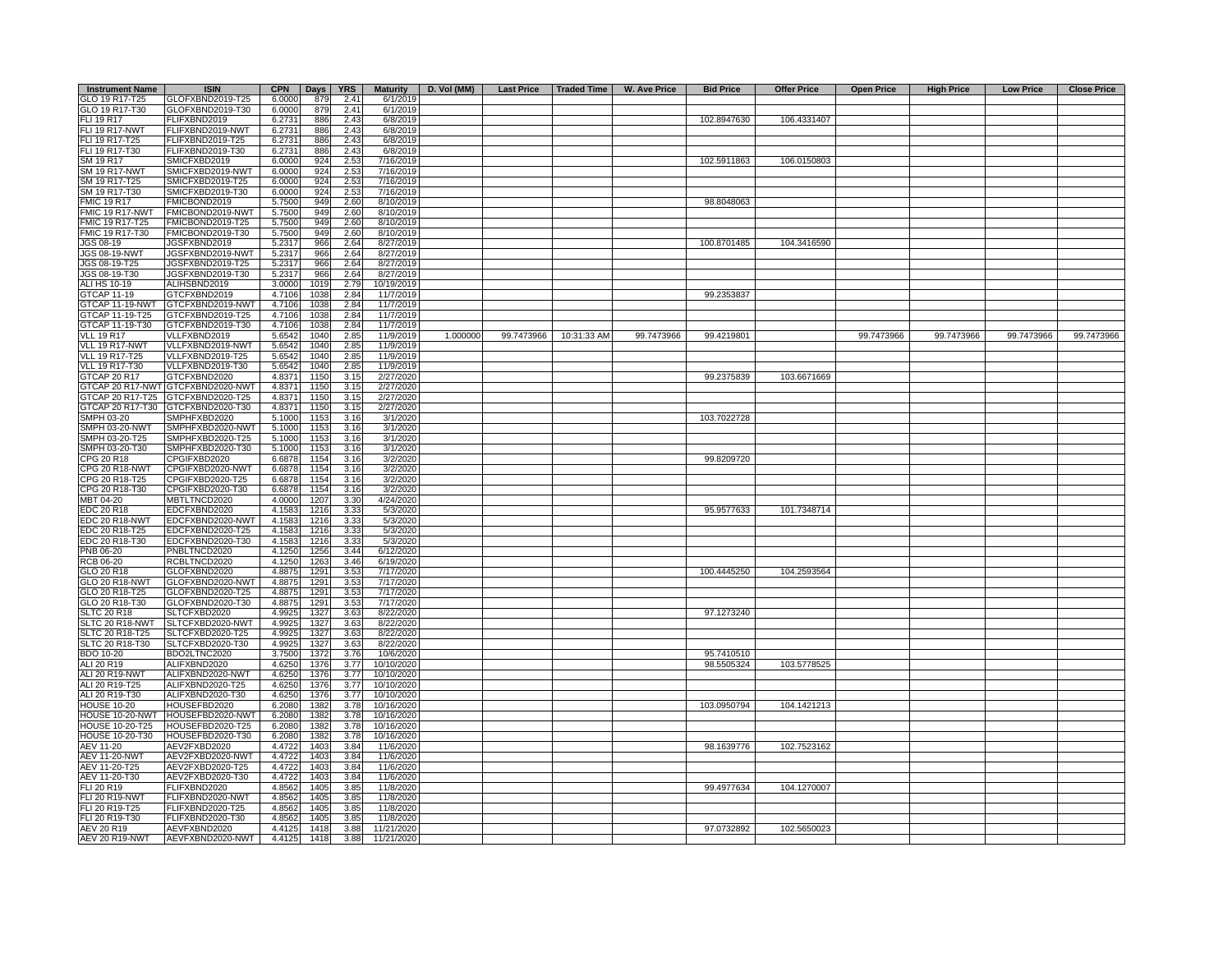| <b>Instrument Name</b> | <b>ISIN</b>                       |        | CPN Days | <b>YRS</b> |            |          | Maturity   D. Vol (MM)   Last Price   Traded Time |                        | <b>W. Ave Price</b> | <b>Bid Price</b> | <b>Offer Price</b> | <b>Open Price</b> | <b>High Price</b> | <b>Low Price</b> | <b>Close Price</b> |
|------------------------|-----------------------------------|--------|----------|------------|------------|----------|---------------------------------------------------|------------------------|---------------------|------------------|--------------------|-------------------|-------------------|------------------|--------------------|
| GLO 19 R17-T25         | GLOFXBND2019-T25                  | 6.0000 | 879      | 2.41       | 6/1/2019   |          |                                                   |                        |                     |                  |                    |                   |                   |                  |                    |
| GLO 19 R17-T30         | GLOFXBND2019-T30                  | 6.0000 | 879      | 2.41       | 6/1/2019   |          |                                                   |                        |                     |                  |                    |                   |                   |                  |                    |
| FLI 19 R17             | FLIFXBND2019                      | 6.2731 | 886      | 2.43       | 6/8/2019   |          |                                                   |                        |                     | 102.8947630      | 106.4331407        |                   |                   |                  |                    |
| <b>FLI 19 R17-NWT</b>  | FLIFXBND2019-NWT                  | 6.2731 | 886      | 2.43       | 6/8/2019   |          |                                                   |                        |                     |                  |                    |                   |                   |                  |                    |
| FLI 19 R17-T25         | FLIFXBND2019-T25                  | 6.2731 | 886      | 2.43       | 6/8/2019   |          |                                                   |                        |                     |                  |                    |                   |                   |                  |                    |
|                        |                                   |        |          |            |            |          |                                                   |                        |                     |                  |                    |                   |                   |                  |                    |
| FLI 19 R17-T30         | FLIFXBND2019-T30                  | 6.2731 | 886      | 2.43       | 6/8/2019   |          |                                                   |                        |                     |                  |                    |                   |                   |                  |                    |
| SM 19 R17              | SMICFXBD2019                      | 6.0000 | 924      | 2.53       | 7/16/2019  |          |                                                   |                        |                     | 102.5911863      | 106.0150803        |                   |                   |                  |                    |
| <b>SM 19 R17-NWT</b>   | SMICFXBD2019-NWT                  | 6.0000 | 924      | 2.53       | 7/16/2019  |          |                                                   |                        |                     |                  |                    |                   |                   |                  |                    |
| SM 19 R17-T25          | SMICFXBD2019-T25                  | 6.0000 | 924      | 2.53       | 7/16/2019  |          |                                                   |                        |                     |                  |                    |                   |                   |                  |                    |
| SM 19 R17-T30          | SMICFXBD2019-T30                  | 6.0000 | 924      | 2.53       | 7/16/2019  |          |                                                   |                        |                     |                  |                    |                   |                   |                  |                    |
| <b>FMIC 19 R17</b>     | FMICBOND2019                      | 5.7500 | 949      | 2.60       | 8/10/2019  |          |                                                   |                        |                     | 98.8048063       |                    |                   |                   |                  |                    |
| FMIC 19 R17-NWT        | FMICBOND2019-NWT                  | 5.7500 | 949      | 2.60       | 8/10/2019  |          |                                                   |                        |                     |                  |                    |                   |                   |                  |                    |
| FMIC 19 R17-T25        | FMICBOND2019-T25                  | 5.7500 | 949      | 2.60       | 8/10/2019  |          |                                                   |                        |                     |                  |                    |                   |                   |                  |                    |
| FMIC 19 R17-T30        | FMICBOND2019-T30                  | 5.7500 | 949      | 2.60       | 8/10/2019  |          |                                                   |                        |                     |                  |                    |                   |                   |                  |                    |
|                        |                                   |        |          |            |            |          |                                                   |                        |                     |                  |                    |                   |                   |                  |                    |
| JGS 08-19              | JGSFXBND2019                      | 5.2317 | 966      | 2.64       | 8/27/2019  |          |                                                   |                        |                     | 100.8701485      | 104.3416590        |                   |                   |                  |                    |
| JGS 08-19-NWT          | JGSFXBND2019-NWT                  | 5.2317 | 966      | 2.64       | 8/27/2019  |          |                                                   |                        |                     |                  |                    |                   |                   |                  |                    |
| JGS 08-19-T25          | JGSFXBND2019-T25                  | 5.2317 | 966      | 2.64       | 8/27/2019  |          |                                                   |                        |                     |                  |                    |                   |                   |                  |                    |
| JGS 08-19-T30          | JGSFXBND2019-T30                  | 5.2317 | 966      | 2.64       | 8/27/2019  |          |                                                   |                        |                     |                  |                    |                   |                   |                  |                    |
| ALI HS 10-19           | ALIHSBND2019                      | 3.0000 | 1019     | 2.79       | 10/19/2019 |          |                                                   |                        |                     |                  |                    |                   |                   |                  |                    |
| <b>GTCAP 11-19</b>     | GTCFXBND2019                      | 4.7106 | 1038     | 2.84       | 11/7/2019  |          |                                                   |                        |                     | 99.2353837       |                    |                   |                   |                  |                    |
| GTCAP 11-19-NWT        | GTCFXBND2019-NWT                  | 4.7106 | 1038     | 2.84       | 11/7/2019  |          |                                                   |                        |                     |                  |                    |                   |                   |                  |                    |
| GTCAP 11-19-T25        | GTCFXBND2019-T25                  | 4.7106 | 1038     | 2.84       | 11/7/2019  |          |                                                   |                        |                     |                  |                    |                   |                   |                  |                    |
|                        |                                   |        |          |            |            |          |                                                   |                        |                     |                  |                    |                   |                   |                  |                    |
| GTCAP 11-19-T30        | GTCFXBND2019-T30                  | 4.7106 | 1038     | 2.84       | 11/7/2019  |          |                                                   |                        |                     |                  |                    |                   |                   |                  |                    |
| <b>VLL 19 R17</b>      | VLLFXBND2019                      | 5.6542 | 1040     | 2.85       | 11/9/2019  | 1.000000 |                                                   | 99.7473966 10:31:33 AM | 99.7473966          | 99.4219801       |                    | 99.7473966        | 99.7473966        | 99.7473966       | 99.7473966         |
| VLL 19 R17-NWT         | VLLFXBND2019-NWT                  | 5.6542 | 1040     | 2.85       | 11/9/2019  |          |                                                   |                        |                     |                  |                    |                   |                   |                  |                    |
| VLL 19 R17-T25         | VLLFXBND2019-T25                  | 5.6542 | 1040     | 2.85       | 11/9/2019  |          |                                                   |                        |                     |                  |                    |                   |                   |                  |                    |
| VLL 19 R17-T30         | VLLFXBND2019-T30                  | 5.6542 | 1040     | 2.85       | 11/9/2019  |          |                                                   |                        |                     |                  |                    |                   |                   |                  |                    |
| <b>GTCAP 20 R17</b>    | GTCFXBND2020                      | 4.8371 | 1150     | 3.15       | 2/27/2020  |          |                                                   |                        |                     | 99.2375839       | 103.6671669        |                   |                   |                  |                    |
|                        | GTCAP 20 R17-NWT GTCFXBND2020-NWT | 4.8371 | 1150     | 3.15       | 2/27/2020  |          |                                                   |                        |                     |                  |                    |                   |                   |                  |                    |
|                        | GTCAP 20 R17-T25 GTCFXBND2020-T25 | 4.8371 | 1150     | 3.15       | 2/27/2020  |          |                                                   |                        |                     |                  |                    |                   |                   |                  |                    |
|                        | GTCAP 20 R17-T30 GTCFXBND2020-T30 |        | 1150     | 3.15       | 2/27/2020  |          |                                                   |                        |                     |                  |                    |                   |                   |                  |                    |
|                        |                                   | 4.8371 |          |            |            |          |                                                   |                        |                     |                  |                    |                   |                   |                  |                    |
| SMPH 03-20             | SMPHFXBD2020                      | 5.1000 | 1153     | 3.16       | 3/1/2020   |          |                                                   |                        |                     | 103.7022728      |                    |                   |                   |                  |                    |
| SMPH 03-20-NWT         | SMPHFXBD2020-NWT                  | 5.1000 | 1153     | 3.16       | 3/1/2020   |          |                                                   |                        |                     |                  |                    |                   |                   |                  |                    |
| SMPH 03-20-T25         | SMPHFXBD2020-T25                  | 5.1000 | 1153     | 3.16       | 3/1/2020   |          |                                                   |                        |                     |                  |                    |                   |                   |                  |                    |
| SMPH 03-20-T30         | SMPHFXBD2020-T30                  | 5.1000 | 1153     | 3.16       | 3/1/2020   |          |                                                   |                        |                     |                  |                    |                   |                   |                  |                    |
| CPG 20 R18             | CPGIFXBD2020                      | 6.6878 | 1154     | 3.16       | 3/2/2020   |          |                                                   |                        |                     | 99.8209720       |                    |                   |                   |                  |                    |
| CPG 20 R18-NWT         | CPGIFXBD2020-NWT                  | 6.6878 | 1154     | 3.16       | 3/2/2020   |          |                                                   |                        |                     |                  |                    |                   |                   |                  |                    |
| CPG 20 R18-T25         | CPGIFXBD2020-T25                  | 6.6878 | 1154     | 3.16       | 3/2/2020   |          |                                                   |                        |                     |                  |                    |                   |                   |                  |                    |
| CPG 20 R18-T30         | CPGIFXBD2020-T30                  | 6.6878 | 1154     | 3.16       | 3/2/2020   |          |                                                   |                        |                     |                  |                    |                   |                   |                  |                    |
| MBT 04-20              | MBTLTNCD2020                      | 4.0000 | 1207     | 3.30       | 4/24/2020  |          |                                                   |                        |                     |                  |                    |                   |                   |                  |                    |
|                        |                                   |        |          |            |            |          |                                                   |                        |                     |                  |                    |                   |                   |                  |                    |
| <b>EDC 20 R18</b>      | EDCFXBND2020                      | 4.1583 | 1216     | 3.33       | 5/3/2020   |          |                                                   |                        |                     | 95.9577633       | 101.7348714        |                   |                   |                  |                    |
| EDC 20 R18-NWT         | EDCFXBND2020-NWT                  | 4.1583 | 1216     | 3.33       | 5/3/2020   |          |                                                   |                        |                     |                  |                    |                   |                   |                  |                    |
| EDC 20 R18-T25         | EDCFXBND2020-T25                  | 4.1583 | 1216     | 3.33       | 5/3/2020   |          |                                                   |                        |                     |                  |                    |                   |                   |                  |                    |
| EDC 20 R18-T30         | EDCFXBND2020-T30                  | 4.1583 | 1216     | 3.33       | 5/3/2020   |          |                                                   |                        |                     |                  |                    |                   |                   |                  |                    |
| PNB 06-20              | PNBLTNCD2020                      | 4.1250 | 1256     | 3.44       | 6/12/2020  |          |                                                   |                        |                     |                  |                    |                   |                   |                  |                    |
| <b>RCB 06-20</b>       | RCBLTNCD2020                      | 4.1250 | 1263     | 3.46       | 6/19/2020  |          |                                                   |                        |                     |                  |                    |                   |                   |                  |                    |
| GLO 20 R18             | GLOFXBND2020                      | 4.8875 | 1291     | 3.53       | 7/17/2020  |          |                                                   |                        |                     | 100.4445250      | 104.2593564        |                   |                   |                  |                    |
| <b>GLO 20 R18-NWT</b>  | GLOFXBND2020-NWT                  | 4.8875 | 1291     | 3.53       | 7/17/2020  |          |                                                   |                        |                     |                  |                    |                   |                   |                  |                    |
| GLO 20 R18-T25         | GLOFXBND2020-T25                  | 4.8875 | 1291     | 3.53       | 7/17/2020  |          |                                                   |                        |                     |                  |                    |                   |                   |                  |                    |
| GLO 20 R18-T30         | GLOFXBND2020-T30                  | 4.8875 | 1291     | 3.53       | 7/17/2020  |          |                                                   |                        |                     |                  |                    |                   |                   |                  |                    |
|                        |                                   |        |          |            |            |          |                                                   |                        |                     |                  |                    |                   |                   |                  |                    |
| <b>SLTC 20 R18</b>     | SLTCFXBD2020                      | 4.9925 | 1327     | 3.63       | 8/22/2020  |          |                                                   |                        |                     | 97.1273240       |                    |                   |                   |                  |                    |
| SLTC 20 R18-NWT        | SLTCFXBD2020-NWT                  | 4.9925 | 1327     | 3.63       | 8/22/2020  |          |                                                   |                        |                     |                  |                    |                   |                   |                  |                    |
| SLTC 20 R18-T25        | SLTCFXBD2020-T25                  | 4.9925 | 1327     | 3.63       | 8/22/2020  |          |                                                   |                        |                     |                  |                    |                   |                   |                  |                    |
| SLTC 20 R18-T30        | SLTCFXBD2020-T30                  | 4.9925 | 1327     | 3.63       | 8/22/2020  |          |                                                   |                        |                     |                  |                    |                   |                   |                  |                    |
| <b>BDO 10-20</b>       | BDO2LTNC2020                      | 3.7500 | 1372     | 3.76       | 10/6/2020  |          |                                                   |                        |                     | 95.7410510       |                    |                   |                   |                  |                    |
| ALI 20 R19             | ALIFXBND2020                      | 4.6250 | 1376     | 3.77       | 10/10/2020 |          |                                                   |                        |                     | 98.5505324       | 103.5778525        |                   |                   |                  |                    |
| <b>ALI 20 R19-NWT</b>  | ALIFXBND2020-NWT                  | 4.6250 | 1376     | 3.77       | 10/10/2020 |          |                                                   |                        |                     |                  |                    |                   |                   |                  |                    |
| ALI 20 R19-T25         | ALIFXBND2020-T25                  | 4.6250 | 1376     | 3.77       | 10/10/2020 |          |                                                   |                        |                     |                  |                    |                   |                   |                  |                    |
| ALI 20 R19-T30         | ALIFXBND2020-T30                  | 4.6250 | 1376     | 3.77       | 10/10/2020 |          |                                                   |                        |                     |                  |                    |                   |                   |                  |                    |
|                        |                                   |        |          | 3.78       | 10/16/2020 |          |                                                   |                        |                     | 103.0950794      | 104.1421213        |                   |                   |                  |                    |
| <b>HOUSE 10-20</b>     | HOUSEFBD2020                      | 6.2080 | 1382     |            |            |          |                                                   |                        |                     |                  |                    |                   |                   |                  |                    |
| HOUSE 10-20-NWT        | HOUSEFBD2020-NWT                  | 6.2080 | 1382     | 3.78       | 10/16/2020 |          |                                                   |                        |                     |                  |                    |                   |                   |                  |                    |
| <b>HOUSE 10-20-T25</b> | HOUSEFBD2020-T25                  | 6.2080 | 1382     | 3.78       | 10/16/2020 |          |                                                   |                        |                     |                  |                    |                   |                   |                  |                    |
| HOUSE 10-20-T30        | HOUSEFBD2020-T30                  | 6.2080 | 1382     | 3.78       | 10/16/2020 |          |                                                   |                        |                     |                  |                    |                   |                   |                  |                    |
| AEV 11-20              | AEV2FXBD2020                      | 4.4722 | 1403     | 3.84       | 11/6/2020  |          |                                                   |                        |                     | 98.1639776       | 102.7523162        |                   |                   |                  |                    |
| <b>AEV 11-20-NWT</b>   | AEV2FXBD2020-NWT                  | 4.4722 | 1403     | 3.84       | 11/6/2020  |          |                                                   |                        |                     |                  |                    |                   |                   |                  |                    |
| AEV 11-20-T25          | AEV2FXBD2020-T25                  | 4.4722 | 1403     | 3.84       | 11/6/2020  |          |                                                   |                        |                     |                  |                    |                   |                   |                  |                    |
| AEV 11-20-T30          | AEV2FXBD2020-T30                  | 4.4722 | 1403     | 3.84       | 11/6/2020  |          |                                                   |                        |                     |                  |                    |                   |                   |                  |                    |
| FLI 20 R19             | FLIFXBND2020                      | 4.8562 | 1405     | 3.85       | 11/8/2020  |          |                                                   |                        |                     | 99.4977634       | 104.1270007        |                   |                   |                  |                    |
|                        |                                   |        |          |            |            |          |                                                   |                        |                     |                  |                    |                   |                   |                  |                    |
| FLI 20 R19-NWT         | FLIFXBND2020-NWT                  | 4.8562 | 1405     | 3.85       | 11/8/2020  |          |                                                   |                        |                     |                  |                    |                   |                   |                  |                    |
| FLI 20 R19-T25         | FLIFXBND2020-T25                  | 4.8562 | 1405     | 3.85       | 11/8/2020  |          |                                                   |                        |                     |                  |                    |                   |                   |                  |                    |
| FLI 20 R19-T30         | FLIFXBND2020-T30                  | 4.8562 | 1405     | 3.85       | 11/8/2020  |          |                                                   |                        |                     |                  |                    |                   |                   |                  |                    |
| AEV 20 R19             | AEVFXBND2020                      | 4.4125 | 1418     | 3.88       | 11/21/2020 |          |                                                   |                        |                     | 97.0732892       | 102.5650023        |                   |                   |                  |                    |
| <b>AEV 20 R19-NWT</b>  | AEVFXBND2020-NWT                  | 4.4125 | 1418     | 3.88       | 11/21/2020 |          |                                                   |                        |                     |                  |                    |                   |                   |                  |                    |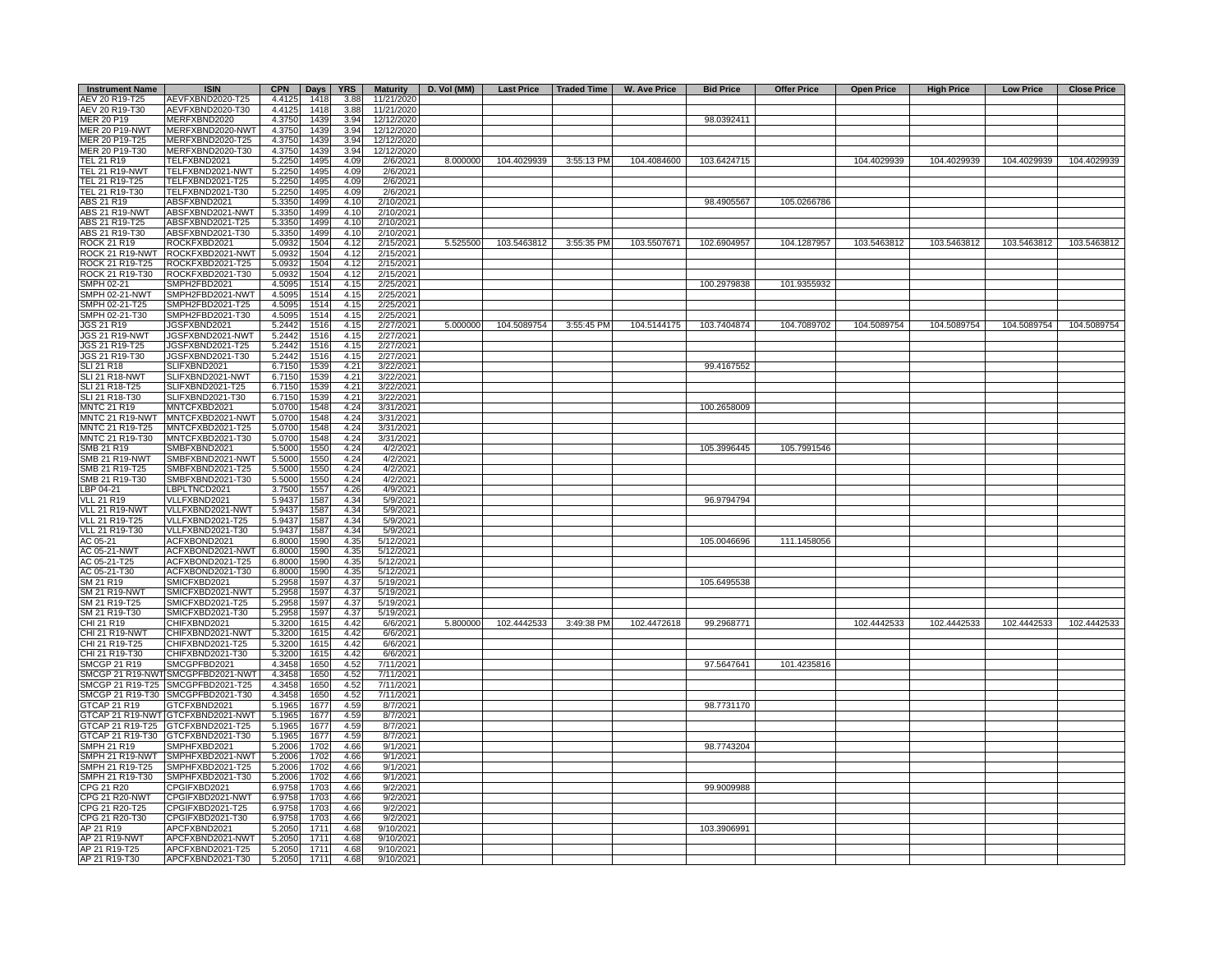| <b>Instrument Name</b> | <b>ISIN</b>                       | <b>CPN</b> | Days $ $ | <b>YRS</b> |            | Maturity   D. Vol (MM) |             | Last Price   Traded Time | <b>W. Ave Price</b> | <b>Bid Price</b> | <b>Offer Price</b> | <b>Open Price</b> | <b>High Price</b> | <b>Low Price</b> | <b>Close Price</b>      |
|------------------------|-----------------------------------|------------|----------|------------|------------|------------------------|-------------|--------------------------|---------------------|------------------|--------------------|-------------------|-------------------|------------------|-------------------------|
| AEV 20 R19-T25         | AEVFXBND2020-T25                  | 4.4125     | 1418     | 3.88       | 11/21/2020 |                        |             |                          |                     |                  |                    |                   |                   |                  |                         |
| AEV 20 R19-T30         | AEVFXBND2020-T30                  | 4.4125     | 1418     | 3.88       | 11/21/2020 |                        |             |                          |                     |                  |                    |                   |                   |                  |                         |
| MER 20 P19             | MERFXBND2020                      | 4.3750     | 1439     | 3.94       | 12/12/2020 |                        |             |                          |                     | 98.0392411       |                    |                   |                   |                  |                         |
| MER 20 P19-NWT         | MERFXBND2020-NWT                  | 4.3750     | 1439     | 3.94       | 12/12/2020 |                        |             |                          |                     |                  |                    |                   |                   |                  |                         |
| MER 20 P19-T25         | MERFXBND2020-T25                  | 4.3750     | 1439     | 3.94       | 12/12/2020 |                        |             |                          |                     |                  |                    |                   |                   |                  |                         |
| MER 20 P19-T30         | MERFXBND2020-T30                  | 4.3750     | 1439     | 3.94       | 12/12/2020 |                        |             |                          |                     |                  |                    |                   |                   |                  |                         |
| <b>TEL 21 R19</b>      | TELFXBND2021                      | 5.2250     | 1495     | 4.09       | 2/6/2021   | 8.000000               | 104.4029939 | 3:55:13 PM               | 104.4084600         | 103.6424715      |                    | 104.4029939       | 104.4029939       | 104.4029939      | 104.4029939             |
| TEL 21 R19-NWT         | TELFXBND2021-NWT                  | 5.2250     | 1495     | 4.09       | 2/6/2021   |                        |             |                          |                     |                  |                    |                   |                   |                  |                         |
| TEL 21 R19-T25         | TELFXBND2021-T25                  | 5.2250     | 1495     | 4.09       | 2/6/2021   |                        |             |                          |                     |                  |                    |                   |                   |                  |                         |
| TEL 21 R19-T30         | TELFXBND2021-T30                  | 5.2250     | 1495     | 4.09       | 2/6/2021   |                        |             |                          |                     |                  |                    |                   |                   |                  |                         |
| ABS 21 R19             | ABSFXBND2021                      | 5.3350     | 1499     | 4.10       | 2/10/2021  |                        |             |                          |                     | 98.4905567       | 105.0266786        |                   |                   |                  |                         |
| ABS 21 R19-NWT         | ABSFXBND2021-NWT                  | 5.3350     | 1499     | 4.10       | 2/10/2021  |                        |             |                          |                     |                  |                    |                   |                   |                  |                         |
| ABS 21 R19-T25         | ABSFXBND2021-T25                  | 5.3350     | 1499     | 4.10       | 2/10/2021  |                        |             |                          |                     |                  |                    |                   |                   |                  |                         |
| ABS 21 R19-T30         | ABSFXBND2021-T30                  | 5.3350     | 1499     | 4.10       | 2/10/2021  |                        |             |                          |                     |                  |                    |                   |                   |                  |                         |
| <b>ROCK 21 R19</b>     | ROCKFXBD2021                      | 5.0932     | 1504     | 4.12       | 2/15/2021  | 5.525500               | 103.5463812 | 3:55:35 PM               | 103.5507671         | 102.6904957      | 104.1287957        | 103.5463812       | 103.5463812       | 103.5463812      | 103.5463812             |
|                        | ROCK 21 R19-NWT ROCKFXBD2021-NWT  | 5.0932     | 1504     | 4.12       | 2/15/2021  |                        |             |                          |                     |                  |                    |                   |                   |                  |                         |
| ROCK 21 R19-T25        | ROCKFXBD2021-T25                  | 5.0932     | 1504     | 4.12       | 2/15/2021  |                        |             |                          |                     |                  |                    |                   |                   |                  |                         |
| ROCK 21 R19-T30        | ROCKFXBD2021-T30                  | 5.0932     | 1504     | 4.12       | 2/15/2021  |                        |             |                          |                     |                  |                    |                   |                   |                  |                         |
| SMPH 02-21             | SMPH2FBD2021                      | 4.5095     | 1514     | 4.15       | 2/25/2021  |                        |             |                          |                     | 100.2979838      | 101.9355932        |                   |                   |                  |                         |
| <b>SMPH 02-21-NWT</b>  | SMPH2FBD2021-NWT                  | 4.5095     | 1514     | 4.15       | 2/25/2021  |                        |             |                          |                     |                  |                    |                   |                   |                  |                         |
| SMPH 02-21-T25         | SMPH2FBD2021-T25                  | 4.5095     | 1514     | 4.15       | 2/25/2021  |                        |             |                          |                     |                  |                    |                   |                   |                  |                         |
| SMPH 02-21-T30         | SMPH2FBD2021-T30                  | 4.5095     | 1514     | 4.15       | 2/25/2021  |                        |             |                          |                     |                  |                    |                   |                   |                  |                         |
| <b>JGS 21 R19</b>      | JGSFXBND2021                      | 5.2442     | 1516     | 4.15       | 2/27/2021  | 5.000000               | 104.5089754 | 3:55:45 PM               | 104.5144175         | 103.7404874      | 104.7089702        | 104.5089754       | 104.5089754       | 104.5089754      | 104.5089754             |
| <b>JGS 21 R19-NWT</b>  | JGSFXBND2021-NWT                  | 5.2442     | 1516     | 4.15       | 2/27/2021  |                        |             |                          |                     |                  |                    |                   |                   |                  |                         |
| JGS 21 R19-T25         | JGSFXBND2021-T25                  | 5.2442     | 1516     | 4.15       | 2/27/2021  |                        |             |                          |                     |                  |                    |                   |                   |                  |                         |
| JGS 21 R19-T30         | JGSFXBND2021-T30                  | 5.2442     | 1516     | 4.15       | 2/27/2021  |                        |             |                          |                     |                  |                    |                   |                   |                  |                         |
| <b>SLI 21 R18</b>      | SLIFXBND2021                      | 6.7150     | 1539     | 4.21       | 3/22/2021  |                        |             |                          |                     | 99.4167552       |                    |                   |                   |                  |                         |
| <b>SLI 21 R18-NWT</b>  | SLIFXBND2021-NWT                  | 6.7150     | 1539     | 4.21       | 3/22/2021  |                        |             |                          |                     |                  |                    |                   |                   |                  |                         |
| SLI 21 R18-T25         | SLIFXBND2021-T25                  | 6.7150     | 1539     | 4.21       | 3/22/2021  |                        |             |                          |                     |                  |                    |                   |                   |                  |                         |
| SLI 21 R18-T30         | SLIFXBND2021-T30                  | 6.7150     | 1539     | 4.21       | 3/22/2021  |                        |             |                          |                     |                  |                    |                   |                   |                  |                         |
| <b>MNTC 21 R19</b>     | MNTCFXBD2021                      | 5.0700     | 1548     | 4.24       | 3/31/2021  |                        |             |                          |                     | 100.2658009      |                    |                   |                   |                  |                         |
|                        | MNTC 21 R19-NWT MNTCFXBD2021-NWT  | 5.0700     | 1548     | 4.24       | 3/31/2021  |                        |             |                          |                     |                  |                    |                   |                   |                  |                         |
| MNTC 21 R19-T25        | MNTCFXBD2021-T25                  | 5.0700     | 1548     | 4.24       | 3/31/2021  |                        |             |                          |                     |                  |                    |                   |                   |                  |                         |
| MNTC 21 R19-T30        | MNTCFXBD2021-T30                  | 5.0700     | 1548     | 4.24       | 3/31/2021  |                        |             |                          |                     |                  |                    |                   |                   |                  |                         |
| SMB 21 R19             | SMBFXBND2021                      | 5.5000     | 1550     | 4.24       | 4/2/2021   |                        |             |                          |                     | 105.3996445      | 105.7991546        |                   |                   |                  |                         |
| <b>SMB 21 R19-NWT</b>  | SMBFXBND2021-NWT                  | 5.5000     | 1550     | 4.24       | 4/2/2021   |                        |             |                          |                     |                  |                    |                   |                   |                  |                         |
| SMB 21 R19-T25         | SMBFXBND2021-T25                  | 5.5000     | 1550     | 4.24       | 4/2/2021   |                        |             |                          |                     |                  |                    |                   |                   |                  |                         |
| SMB 21 R19-T30         | SMBFXBND2021-T30                  | 5.5000     | 1550     | 4.24       | 4/2/2021   |                        |             |                          |                     |                  |                    |                   |                   |                  |                         |
| LBP 04-21              | LBPLTNCD2021                      | 3.7500     | 1557     | 4.26       | 4/9/2021   |                        |             |                          |                     |                  |                    |                   |                   |                  |                         |
| <b>VLL 21 R19</b>      | VLLFXBND2021                      | 5.9437     | 1587     | 4.34       | 5/9/2021   |                        |             |                          |                     | 96.9794794       |                    |                   |                   |                  |                         |
| <b>VLL 21 R19-NWT</b>  | VLLFXBND2021-NWT                  | 5.9437     | 1587     | 4.34       | 5/9/2021   |                        |             |                          |                     |                  |                    |                   |                   |                  |                         |
| VLL 21 R19-T25         | VLLFXBND2021-T25                  | 5.9437     | 1587     | 4.34       | 5/9/2021   |                        |             |                          |                     |                  |                    |                   |                   |                  |                         |
| VLL 21 R19-T30         | VLLFXBND2021-T30                  | 5.9437     | 1587     | 4.34       | 5/9/2021   |                        |             |                          |                     |                  |                    |                   |                   |                  |                         |
| AC 05-21               | ACFXBOND2021                      | 6.8000     | 1590     | 4.35       | 5/12/2021  |                        |             |                          |                     | 105.0046696      | 111.1458056        |                   |                   |                  |                         |
| AC 05-21-NWT           | ACFXBOND2021-NWT                  | 6.8000     | 1590     | 4.35       | 5/12/2021  |                        |             |                          |                     |                  |                    |                   |                   |                  |                         |
| AC 05-21-T25           | ACFXBOND2021-T25                  | 6.8000     | 1590     | 4.35       | 5/12/2021  |                        |             |                          |                     |                  |                    |                   |                   |                  |                         |
| AC 05-21-T30           | ACFXBOND2021-T30                  | 6.8000     | 1590     | 4.35       | 5/12/2021  |                        |             |                          |                     |                  |                    |                   |                   |                  |                         |
| SM 21 R19              | SMICFXBD2021                      | 5.2958     | 1597     | 4.37       | 5/19/2021  |                        |             |                          |                     | 105.6495538      |                    |                   |                   |                  |                         |
| SM 21 R19-NWT          | SMICFXBD2021-NWT                  | 5.2958     | 1597     | 4.37       | 5/19/2021  |                        |             |                          |                     |                  |                    |                   |                   |                  |                         |
| SM 21 R19-T25          | SMICFXBD2021-T25                  | 5.2958     | 1597     | 4.37       | 5/19/2021  |                        |             |                          |                     |                  |                    |                   |                   |                  |                         |
| SM 21 R19-T30          | SMICFXBD2021-T30                  | 5.2958     | 1597     | 4.37       | 5/19/2021  |                        |             |                          |                     |                  |                    |                   |                   |                  |                         |
| CHI 21 R19             | CHIFXBND2021                      | 5.3200     | 1615     | 4.42       | 6/6/2021   | 5.800000               | 102.4442533 | 3:49:38 PM               | 102.4472618         | 99.2968771       |                    | 102.4442533       | 102.4442533       |                  | 102.4442533 102.4442533 |
| CHI 21 R19-NWT         | CHIFXBND2021-NWT                  | 5.3200     | 1615     | 4.42       | 6/6/2021   |                        |             |                          |                     |                  |                    |                   |                   |                  |                         |
| CHI 21 R19-T25         | CHIFXBND2021-T25                  | 5.3200     | 1615     | 4.42       | 6/6/2021   |                        |             |                          |                     |                  |                    |                   |                   |                  |                         |
| CHI 21 R19-T30         | CHIFXBND2021-T30                  | 5.3200     | 1615     | 4.42       | 6/6/2021   |                        |             |                          |                     |                  |                    |                   |                   |                  |                         |
| <b>SMCGP 21 R19</b>    | SMCGPFBD2021                      | 4.3458     | 1650     | 4.52       | 7/11/2021  |                        |             |                          |                     | 97.5647641       | 101.4235816        |                   |                   |                  |                         |
|                        | SMCGP 21 R19-NWT SMCGPFBD2021-NWT | 4.3458     | 1650     | 4.52       | 7/11/2021  |                        |             |                          |                     |                  |                    |                   |                   |                  |                         |
|                        | SMCGP 21 R19-T25 SMCGPFBD2021-T25 | 4.3458     | 1650     | 4.52       | 7/11/2021  |                        |             |                          |                     |                  |                    |                   |                   |                  |                         |
|                        | SMCGP 21 R19-T30 SMCGPFBD2021-T30 | 4.3458     | 1650     | 4.52       | 7/11/2021  |                        |             |                          |                     |                  |                    |                   |                   |                  |                         |
| GTCAP 21 R19           | GTCFXBND2021                      | 5.1965     | 1677     | 4.59       | 8/7/2021   |                        |             |                          |                     | 98.7731170       |                    |                   |                   |                  |                         |
|                        | GTCAP 21 R19-NWT GTCFXBND2021-NWT | 5.1965     | 1677     | 4.59       | 8/7/2021   |                        |             |                          |                     |                  |                    |                   |                   |                  |                         |
|                        | GTCAP 21 R19-T25 GTCFXBND2021-T25 | 5.1965     | 1677     | 4.59       | 8/7/2021   |                        |             |                          |                     |                  |                    |                   |                   |                  |                         |
|                        | GTCAP 21 R19-T30 GTCFXBND2021-T30 | 5.1965     | 1677     | 4.59       | 8/7/2021   |                        |             |                          |                     |                  |                    |                   |                   |                  |                         |
| SMPH 21 R19            | SMPHFXBD2021                      | 5.2006     | 1702     | 4.66       | 9/1/2021   |                        |             |                          |                     | 98.7743204       |                    |                   |                   |                  |                         |
|                        | SMPH 21 R19-NWT SMPHFXBD2021-NWT  | 5.2006     | 1702     | 4.66       | 9/1/2021   |                        |             |                          |                     |                  |                    |                   |                   |                  |                         |
| SMPH 21 R19-T25        | SMPHFXBD2021-T25                  | 5.2006     | 1702     | 4.66       | 9/1/2021   |                        |             |                          |                     |                  |                    |                   |                   |                  |                         |
| SMPH 21 R19-T30        | SMPHFXBD2021-T30                  | 5.2006     | 1702     | 4.66       | 9/1/2021   |                        |             |                          |                     |                  |                    |                   |                   |                  |                         |
| CPG 21 R20             | CPGIFXBD2021                      | 6.9758     | 1703     | 4.66       | 9/2/2021   |                        |             |                          |                     | 99.9009988       |                    |                   |                   |                  |                         |
| <b>CPG 21 R20-NWT</b>  | CPGIFXBD2021-NWT                  | 6.9758     | 1703     | 4.66       | 9/2/2021   |                        |             |                          |                     |                  |                    |                   |                   |                  |                         |
| CPG 21 R20-T25         | CPGIFXBD2021-T25                  | 6.9758     | 1703     | 4.66       | 9/2/2021   |                        |             |                          |                     |                  |                    |                   |                   |                  |                         |
| CPG 21 R20-T30         | CPGIFXBD2021-T30                  | 6.9758     | 1703     | 4.66       | 9/2/2021   |                        |             |                          |                     |                  |                    |                   |                   |                  |                         |
| AP 21 R19              | APCFXBND2021                      | 5.2050     | 1711     | 4.68       | 9/10/2021  |                        |             |                          |                     | 103.3906991      |                    |                   |                   |                  |                         |
| AP 21 R19-NWT          | APCFXBND2021-NWT                  | 5.2050     | 1711     | 4.68       | 9/10/2021  |                        |             |                          |                     |                  |                    |                   |                   |                  |                         |
| AP 21 R19-T25          | APCFXBND2021-T25                  | 5.2050     | 1711     | 4.68       | 9/10/2021  |                        |             |                          |                     |                  |                    |                   |                   |                  |                         |
|                        | APCFXBND2021-T30                  |            |          | 4.68       |            |                        |             |                          |                     |                  |                    |                   |                   |                  |                         |
| AP 21 R19-T30          |                                   | 5.2050     | 1711     |            | 9/10/2021  |                        |             |                          |                     |                  |                    |                   |                   |                  |                         |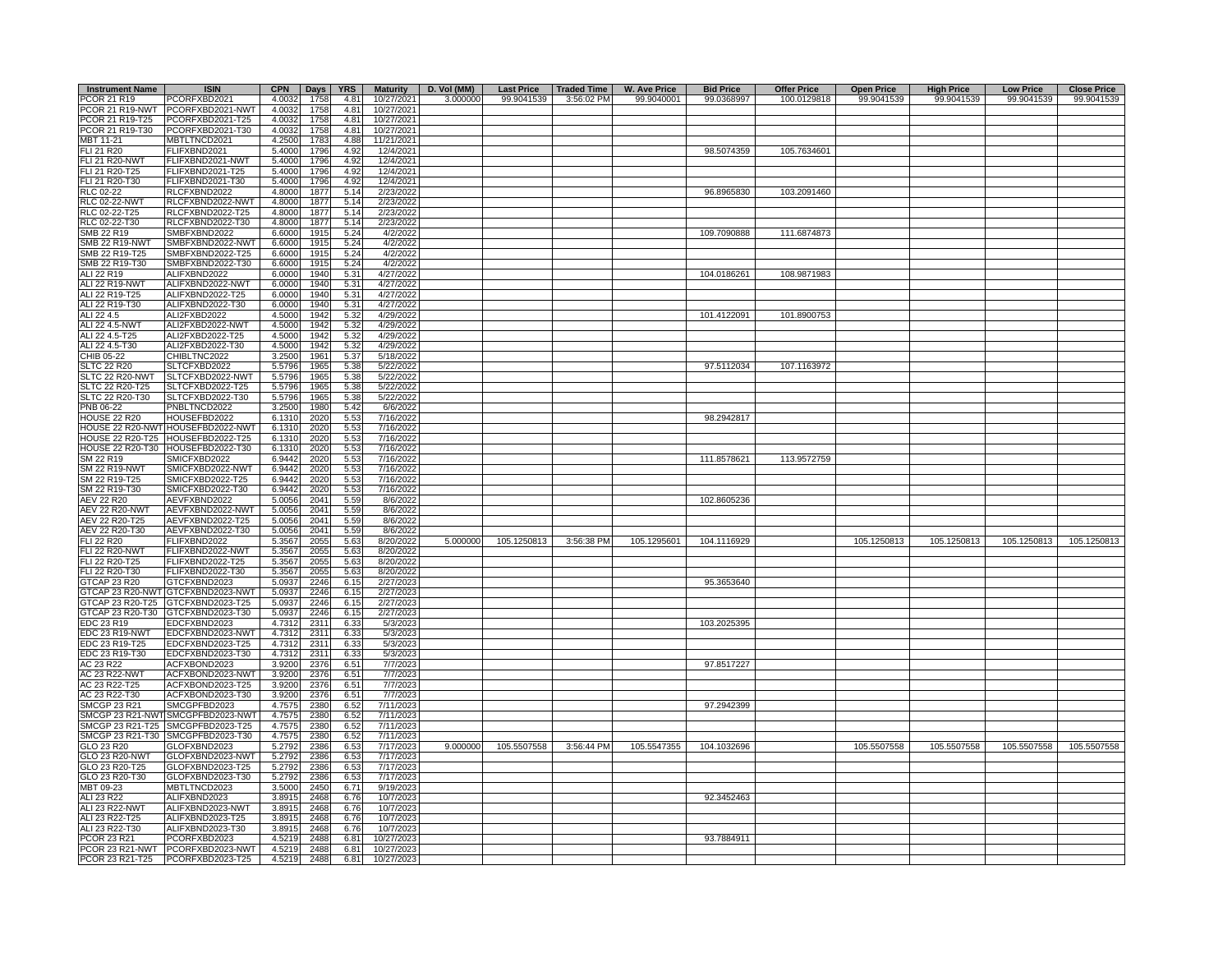| <b>Instrument Name</b> | <b>ISIN</b>                       | <b>CPN</b> | Days | <b>YRS</b> | <b>Maturity</b> | D. Vol (MM) | <b>Last Price</b> | <b>Traded Time</b> | <b>W. Ave Price</b> | <b>Bid Price</b> | <b>Offer Price</b> | <b>Open Price</b> | <b>High Price</b> | <b>Low Price</b> | <b>Close Price</b> |
|------------------------|-----------------------------------|------------|------|------------|-----------------|-------------|-------------------|--------------------|---------------------|------------------|--------------------|-------------------|-------------------|------------------|--------------------|
| PCOR 21 R19            | PCORFXBD2021                      | 4.0032     | 1758 | 4.81       | 10/27/2021      | 3.000000    | 99.9041539        | 3:56:02 PM         | 99.9040001          | 99.0368997       | 100.0129818        | 99.9041539        | 99.9041539        | 99.9041539       | 99.9041539         |
|                        | PCOR 21 R19-NWT PCORFXBD2021-NWT  | 4.0032     | 1758 | 4.81       | 10/27/2021      |             |                   |                    |                     |                  |                    |                   |                   |                  |                    |
| PCOR 21 R19-T25        | PCORFXBD2021-T25                  | 4.0032     | 1758 | 4.81       | 10/27/2021      |             |                   |                    |                     |                  |                    |                   |                   |                  |                    |
|                        |                                   |            |      |            |                 |             |                   |                    |                     |                  |                    |                   |                   |                  |                    |
| PCOR 21 R19-T30        | PCORFXBD2021-T30                  | 4.0032     | 1758 | 4.81       | 10/27/2021      |             |                   |                    |                     |                  |                    |                   |                   |                  |                    |
| MBT 11-21              | MBTLTNCD2021                      | 4.2500     | 1783 | 4.88       | 11/21/2021      |             |                   |                    |                     |                  |                    |                   |                   |                  |                    |
| FLI 21 R20             | FLIFXBND2021                      | 5.4000     | 1796 | 4.92       | 12/4/2021       |             |                   |                    |                     | 98.5074359       | 105.7634601        |                   |                   |                  |                    |
| <b>FLI 21 R20-NWT</b>  | FLIFXBND2021-NWT                  | 5.4000     | 1796 | 4.92       | 12/4/2021       |             |                   |                    |                     |                  |                    |                   |                   |                  |                    |
| FLI 21 R20-T25         | FLIFXBND2021-T25                  | 5.4000     | 1796 | 4.92       | 12/4/2021       |             |                   |                    |                     |                  |                    |                   |                   |                  |                    |
| FLI 21 R20-T30         | FLIFXBND2021-T30                  | 5.4000     | 1796 | 4.92       | 12/4/2021       |             |                   |                    |                     |                  |                    |                   |                   |                  |                    |
| RLC 02-22              | RLCFXBND2022                      | 4.8000     | 1877 | 5.14       | 2/23/2022       |             |                   |                    |                     | 96.8965830       | 103.2091460        |                   |                   |                  |                    |
| <b>RLC 02-22-NWT</b>   | RLCFXBND2022-NWT                  | 4.8000     | 1877 | 5.14       | 2/23/2022       |             |                   |                    |                     |                  |                    |                   |                   |                  |                    |
| RLC 02-22-T25          | RLCFXBND2022-T25                  | 4.8000     | 1877 | 5.14       | 2/23/2022       |             |                   |                    |                     |                  |                    |                   |                   |                  |                    |
| RLC 02-22-T30          | RLCFXBND2022-T30                  | 4.8000     | 1877 | 5.14       | 2/23/2022       |             |                   |                    |                     |                  |                    |                   |                   |                  |                    |
|                        |                                   |            |      |            |                 |             |                   |                    |                     |                  |                    |                   |                   |                  |                    |
| SMB 22 R19             | SMBFXBND2022                      | 6.6000     | 1915 | 5.24       | 4/2/2022        |             |                   |                    |                     | 109.7090888      | 111.6874873        |                   |                   |                  |                    |
| <b>SMB 22 R19-NWT</b>  | SMBFXBND2022-NWT                  | 6.6000     | 1915 | 5.24       | 4/2/2022        |             |                   |                    |                     |                  |                    |                   |                   |                  |                    |
| SMB 22 R19-T25         | SMBFXBND2022-T25                  | 6.6000     | 1915 | 5.24       | 4/2/2022        |             |                   |                    |                     |                  |                    |                   |                   |                  |                    |
| SMB 22 R19-T30         | SMBFXBND2022-T30                  | 6.6000     | 1915 | 5.24       | 4/2/2022        |             |                   |                    |                     |                  |                    |                   |                   |                  |                    |
| ALI 22 R19             | ALIFXBND2022                      | 6.0000     | 1940 | 5.31       | 4/27/2022       |             |                   |                    |                     | 104.0186261      | 108.9871983        |                   |                   |                  |                    |
| <b>ALI 22 R19-NWT</b>  | ALIFXBND2022-NWT                  | 6.0000     | 1940 | 5.31       | 4/27/2022       |             |                   |                    |                     |                  |                    |                   |                   |                  |                    |
| ALI 22 R19-T25         | ALIFXBND2022-T25                  | 6.0000     | 1940 | 5.31       | 4/27/2022       |             |                   |                    |                     |                  |                    |                   |                   |                  |                    |
| ALI 22 R19-T30         | ALIFXBND2022-T30                  | 6.0000     | 1940 | 5.31       | 4/27/2022       |             |                   |                    |                     |                  |                    |                   |                   |                  |                    |
|                        |                                   |            |      |            |                 |             |                   |                    |                     |                  |                    |                   |                   |                  |                    |
| ALI 22 4.5             | ALI2FXBD2022                      | 4.5000     | 1942 | 5.32       | 4/29/2022       |             |                   |                    |                     | 101.4122091      | 101.8900753        |                   |                   |                  |                    |
| ALI 22 4.5-NWT         | ALI2FXBD2022-NWT                  | 4.5000     | 1942 | 5.32       | 4/29/2022       |             |                   |                    |                     |                  |                    |                   |                   |                  |                    |
| ALI 22 4.5-T25         | ALI2FXBD2022-T25                  | 4.5000     | 1942 | 5.32       | 4/29/2022       |             |                   |                    |                     |                  |                    |                   |                   |                  |                    |
| ALI 22 4.5-T30         | ALI2FXBD2022-T30                  | 4.5000     | 1942 | 5.32       | 4/29/2022       |             |                   |                    |                     |                  |                    |                   |                   |                  |                    |
| CHIB 05-22             | CHIBLTNC2022                      | 3.2500     | 1961 | 5.37       | 5/18/2022       |             |                   |                    |                     |                  |                    |                   |                   |                  |                    |
| <b>SLTC 22 R20</b>     | SLTCFXBD2022                      | 5.5796     | 1965 | 5.38       | 5/22/2022       |             |                   |                    |                     | 97.5112034       | 107.1163972        |                   |                   |                  |                    |
| SLTC 22 R20-NWT        | SLTCFXBD2022-NWT                  | 5.5796     | 1965 | 5.38       | 5/22/2022       |             |                   |                    |                     |                  |                    |                   |                   |                  |                    |
| SLTC 22 R20-T25        | SLTCFXBD2022-T25                  | 5.5796     | 1965 | 5.38       | 5/22/2022       |             |                   |                    |                     |                  |                    |                   |                   |                  |                    |
| SLTC 22 R20-T30        | SLTCFXBD2022-T30                  | 5.5796     | 1965 | 5.38       | 5/22/2022       |             |                   |                    |                     |                  |                    |                   |                   |                  |                    |
|                        |                                   |            |      |            |                 |             |                   |                    |                     |                  |                    |                   |                   |                  |                    |
| PNB 06-22              | PNBLTNCD2022                      | 3.2500     | 1980 | 5.42       | 6/6/2022        |             |                   |                    |                     |                  |                    |                   |                   |                  |                    |
| <b>HOUSE 22 R20</b>    | HOUSEFBD2022                      | 6.1310     | 2020 | 5.53       | 7/16/2022       |             |                   |                    |                     | 98.2942817       |                    |                   |                   |                  |                    |
|                        | HOUSE 22 R20-NWT HOUSEFBD2022-NWT | 6.1310     | 2020 | 5.53       | 7/16/2022       |             |                   |                    |                     |                  |                    |                   |                   |                  |                    |
|                        | HOUSE 22 R20-T25 HOUSEFBD2022-T25 | 6.1310     | 2020 | 5.53       | 7/16/2022       |             |                   |                    |                     |                  |                    |                   |                   |                  |                    |
|                        | HOUSE 22 R20-T30 HOUSEFBD2022-T30 | 6.1310     | 2020 | 5.53       | 7/16/2022       |             |                   |                    |                     |                  |                    |                   |                   |                  |                    |
| SM 22 R19              | SMICFXBD2022                      | 6.9442     | 2020 | 5.53       | 7/16/2022       |             |                   |                    |                     | 111.8578621      | 113.9572759        |                   |                   |                  |                    |
| <b>SM 22 R19-NWT</b>   | SMICFXBD2022-NWT                  | 6.9442     | 2020 | 5.53       | 7/16/2022       |             |                   |                    |                     |                  |                    |                   |                   |                  |                    |
| SM 22 R19-T25          | SMICFXBD2022-T25                  | 6.9442     | 2020 | 5.53       | 7/16/2022       |             |                   |                    |                     |                  |                    |                   |                   |                  |                    |
|                        |                                   | 6.9442     |      |            |                 |             |                   |                    |                     |                  |                    |                   |                   |                  |                    |
| SM 22 R19-T30          | SMICFXBD2022-T30                  |            | 2020 | 5.53       | 7/16/2022       |             |                   |                    |                     |                  |                    |                   |                   |                  |                    |
| <b>AEV 22 R20</b>      | AEVFXBND2022                      | 5.0056     | 2041 | 5.59       | 8/6/2022        |             |                   |                    |                     | 102.8605236      |                    |                   |                   |                  |                    |
| <b>AEV 22 R20-NWT</b>  | AEVFXBND2022-NWT                  | 5.0056     | 2041 | 5.59       | 8/6/2022        |             |                   |                    |                     |                  |                    |                   |                   |                  |                    |
| AEV 22 R20-T25         | AEVFXBND2022-T25                  | 5.0056     | 2041 | 5.59       | 8/6/2022        |             |                   |                    |                     |                  |                    |                   |                   |                  |                    |
| AEV 22 R20-T30         | AEVFXBND2022-T30                  | 5.0056     | 2041 | 5.59       | 8/6/2022        |             |                   |                    |                     |                  |                    |                   |                   |                  |                    |
| FLI 22 R20             | FLIFXBND2022                      | 5.3567     | 2055 | 5.63       | 8/20/2022       | 5.000000    | 105.1250813       | 3:56:38 PM         | 105.1295601         | 104.1116929      |                    | 105.1250813       | 105.1250813       | 105.1250813      | 105.1250813        |
| <b>FLI 22 R20-NWT</b>  | FLIFXBND2022-NWT                  | 5.3567     | 2055 | 5.63       | 8/20/2022       |             |                   |                    |                     |                  |                    |                   |                   |                  |                    |
| FLI 22 R20-T25         | FLIFXBND2022-T25                  | 5.3567     | 2055 | 5.63       | 8/20/2022       |             |                   |                    |                     |                  |                    |                   |                   |                  |                    |
|                        |                                   |            |      |            |                 |             |                   |                    |                     |                  |                    |                   |                   |                  |                    |
| FLI 22 R20-T30         | FLIFXBND2022-T30                  | 5.3567     | 2055 | 5.63       | 8/20/2022       |             |                   |                    |                     |                  |                    |                   |                   |                  |                    |
| GTCAP 23 R20           | GTCFXBND2023                      | 5.0937     | 2246 | 6.15       | 2/27/2023       |             |                   |                    |                     | 95.3653640       |                    |                   |                   |                  |                    |
|                        | GTCAP 23 R20-NWT GTCFXBND2023-NWT | 5.0937     | 2246 | 6.15       | 2/27/2023       |             |                   |                    |                     |                  |                    |                   |                   |                  |                    |
|                        | GTCAP 23 R20-T25 GTCFXBND2023-T25 | 5.0937     | 2246 | 6.15       | 2/27/2023       |             |                   |                    |                     |                  |                    |                   |                   |                  |                    |
|                        | GTCAP 23 R20-T30 GTCFXBND2023-T30 | 5.0937     | 2246 | 6.15       | 2/27/2023       |             |                   |                    |                     |                  |                    |                   |                   |                  |                    |
| EDC 23 R19             | EDCFXBND2023                      | 4.7312     | 2311 | 6.33       | 5/3/2023        |             |                   |                    |                     | 103.2025395      |                    |                   |                   |                  |                    |
| EDC 23 R19-NWT         | EDCFXBND2023-NWT                  | 4.7312     | 2311 | 6.33       | 5/3/2023        |             |                   |                    |                     |                  |                    |                   |                   |                  |                    |
| EDC 23 R19-T25         | EDCFXBND2023-T25                  | 4.7312     | 2311 | 6.33       | 5/3/2023        |             |                   |                    |                     |                  |                    |                   |                   |                  |                    |
| EDC 23 R19-T30         | EDCFXBND2023-T30                  | 4.7312     | 2311 | 6.33       | 5/3/2023        |             |                   |                    |                     |                  |                    |                   |                   |                  |                    |
|                        |                                   |            |      |            |                 |             |                   |                    |                     |                  |                    |                   |                   |                  |                    |
| AC 23 R22              | ACFXBOND2023                      | 3.9200     | 2376 | 6.51       | 7/7/2023        |             |                   |                    |                     | 97.8517227       |                    |                   |                   |                  |                    |
| <b>AC 23 R22-NWT</b>   | ACFXBOND2023-NWT                  | 3.9200     | 2376 | 6.51       | 7/7/2023        |             |                   |                    |                     |                  |                    |                   |                   |                  |                    |
| AC 23 R22-T25          | ACFXBOND2023-T25                  | 3.9200     | 2376 | 6.51       | 7/7/2023        |             |                   |                    |                     |                  |                    |                   |                   |                  |                    |
| AC 23 R22-T30          | ACFXBOND2023-T30                  | 3.9200     | 2376 | 6.51       | 7/7/2023        |             |                   |                    |                     |                  |                    |                   |                   |                  |                    |
| <b>SMCGP 23 R21</b>    | SMCGPFBD2023                      | 4.7575     | 2380 | 6.52       | 7/11/2023       |             |                   |                    |                     | 97.2942399       |                    |                   |                   |                  |                    |
|                        | SMCGP 23 R21-NWT SMCGPFBD2023-NWT | 4.7575     | 2380 | 6.52       | 7/11/2023       |             |                   |                    |                     |                  |                    |                   |                   |                  |                    |
|                        | SMCGP 23 R21-T25 SMCGPFBD2023-T25 | 4.7575     | 2380 | 6.52       | 7/11/2023       |             |                   |                    |                     |                  |                    |                   |                   |                  |                    |
|                        | SMCGP 23 R21-T30 SMCGPFBD2023-T30 | 4.7575     | 2380 | 6.52       | 7/11/2023       |             |                   |                    |                     |                  |                    |                   |                   |                  |                    |
|                        |                                   |            |      |            |                 |             |                   |                    |                     |                  |                    |                   |                   |                  |                    |
| GLO 23 R20             | GLOFXBND2023                      | 5.2792     | 2386 | 6.53       | 7/17/2023       | 9.000000    | 105.5507558       | 3:56:44 PM         | 105.5547355         | 104.1032696      |                    | 105.5507558       | 105.5507558       | 105.5507558      | 105.5507558        |
| GLO 23 R20-NWT         | GLOFXBND2023-NWT                  | 5.2792     | 2386 | 6.53       | 7/17/2023       |             |                   |                    |                     |                  |                    |                   |                   |                  |                    |
| GLO 23 R20-T25         | GLOFXBND2023-T25                  | 5.2792     | 2386 | 6.53       | 7/17/2023       |             |                   |                    |                     |                  |                    |                   |                   |                  |                    |
| GLO 23 R20-T30         | GLOFXBND2023-T30                  | 5.2792     | 2386 | 6.53       | 7/17/2023       |             |                   |                    |                     |                  |                    |                   |                   |                  |                    |
| MBT 09-23              | MBTLTNCD2023                      | 3.5000     | 2450 | 6.71       | 9/19/2023       |             |                   |                    |                     |                  |                    |                   |                   |                  |                    |
| ALI 23 R22             | ALIFXBND2023                      | 3.8915     | 2468 | 6.76       | 10/7/2023       |             |                   |                    |                     | 92.3452463       |                    |                   |                   |                  |                    |
| ALI 23 R22-NWT         | ALIFXBND2023-NWT                  | 3.8915     | 2468 | 6.76       | 10/7/2023       |             |                   |                    |                     |                  |                    |                   |                   |                  |                    |
| ALI 23 R22-T25         | ALIFXBND2023-T25                  | 3.8915     | 2468 | 6.76       | 10/7/2023       |             |                   |                    |                     |                  |                    |                   |                   |                  |                    |
|                        |                                   |            |      |            |                 |             |                   |                    |                     |                  |                    |                   |                   |                  |                    |
| ALI 23 R22-T30         | ALIFXBND2023-T30                  | 3.8915     | 2468 | 6.76       | 10/7/2023       |             |                   |                    |                     |                  |                    |                   |                   |                  |                    |
| PCOR 23 R21            | PCORFXBD2023                      | 4.5219     | 2488 | 6.81       | 10/27/2023      |             |                   |                    |                     | 93.7884911       |                    |                   |                   |                  |                    |
|                        | PCOR 23 R21-NWT PCORFXBD2023-NWT  | 4.5219     | 2488 | 6.81       | 10/27/2023      |             |                   |                    |                     |                  |                    |                   |                   |                  |                    |
| PCOR 23 R21-T25        | PCORFXBD2023-T25                  | 4.5219     | 2488 | 6.81       | 10/27/2023      |             |                   |                    |                     |                  |                    |                   |                   |                  |                    |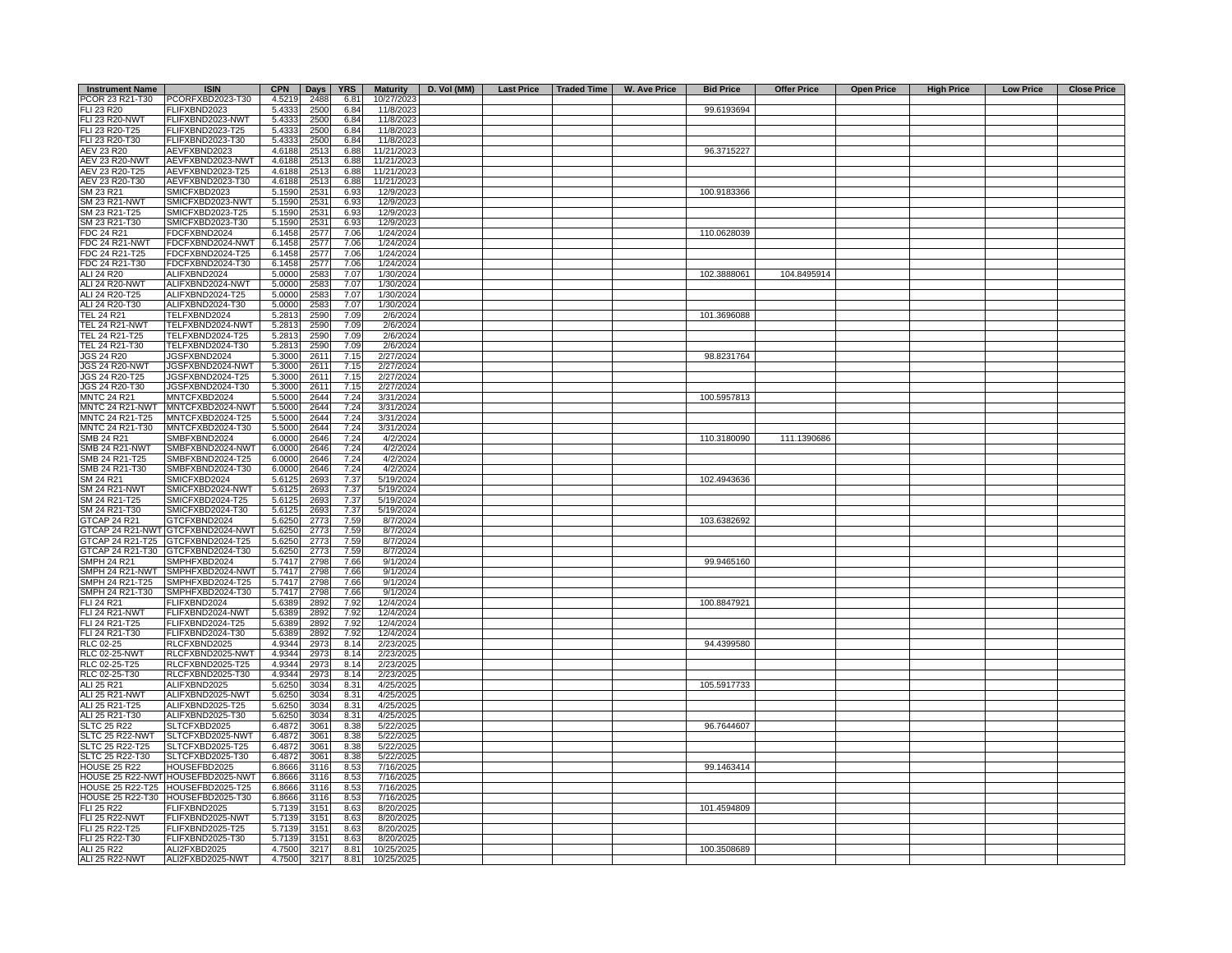| <b>Instrument Name</b> | <b>ISIN</b>                       | <b>CPN</b> |      | Days YRS |            | Maturity D. Vol (MM) | Last Price   Traded Time   W. Ave Price | <b>Bid Price</b> | <b>Offer Price</b> | <b>Open Price</b> | <b>High Price</b> | <b>Low Price</b> | <b>Close Price</b> |
|------------------------|-----------------------------------|------------|------|----------|------------|----------------------|-----------------------------------------|------------------|--------------------|-------------------|-------------------|------------------|--------------------|
| PCOR 23 R21-T30        | PCORFXBD2023-T30                  | 4.5219     | 2488 | 6.81     | 10/27/2023 |                      |                                         |                  |                    |                   |                   |                  |                    |
| FLI 23 R20             | FLIFXBND2023                      | 5.4333     | 2500 | 6.84     | 11/8/2023  |                      |                                         | 99.6193694       |                    |                   |                   |                  |                    |
| <b>FLI 23 R20-NWT</b>  | FLIFXBND2023-NWT                  | 5.4333     | 2500 | 6.84     | 11/8/2023  |                      |                                         |                  |                    |                   |                   |                  |                    |
| FLI 23 R20-T25         | FLIFXBND2023-T25                  | 5.4333     | 2500 | 6.84     | 11/8/2023  |                      |                                         |                  |                    |                   |                   |                  |                    |
| FLI 23 R20-T30         | FLIFXBND2023-T30                  | 5.4333     | 2500 | 6.84     | 11/8/2023  |                      |                                         |                  |                    |                   |                   |                  |                    |
| AEV 23 R20             | AEVFXBND2023                      | 4.6188     | 2513 | 6.88     | 11/21/2023 |                      |                                         | 96.3715227       |                    |                   |                   |                  |                    |
| <b>AEV 23 R20-NWT</b>  | AEVFXBND2023-NWT                  | 4.6188     | 2513 | 6.88     | 11/21/2023 |                      |                                         |                  |                    |                   |                   |                  |                    |
|                        |                                   |            |      |          |            |                      |                                         |                  |                    |                   |                   |                  |                    |
| AEV 23 R20-T25         | AEVFXBND2023-T25                  | 4.6188     | 2513 | 6.88     | 11/21/2023 |                      |                                         |                  |                    |                   |                   |                  |                    |
| AEV 23 R20-T30         | AEVFXBND2023-T30                  | 4.6188     | 2513 | 6.88     | 11/21/2023 |                      |                                         |                  |                    |                   |                   |                  |                    |
| SM 23 R21              | SMICFXBD2023                      | 5.1590     | 2531 | 6.93     | 12/9/2023  |                      |                                         | 100.9183366      |                    |                   |                   |                  |                    |
| SM 23 R21-NWT          | SMICFXBD2023-NWT                  | 5.1590     | 2531 | 6.93     | 12/9/2023  |                      |                                         |                  |                    |                   |                   |                  |                    |
| SM 23 R21-T25          | SMICFXBD2023-T25                  | 5.1590     | 2531 | 6.93     | 12/9/2023  |                      |                                         |                  |                    |                   |                   |                  |                    |
| SM 23 R21-T30          | SMICFXBD2023-T30                  | 5.1590     | 2531 | 6.93     | 12/9/2023  |                      |                                         |                  |                    |                   |                   |                  |                    |
| FDC 24 R21             | FDCFXBND2024                      | 6.1458     | 2577 | 7.06     | 1/24/2024  |                      |                                         | 110.0628039      |                    |                   |                   |                  |                    |
| FDC 24 R21-NWT         | FDCFXBND2024-NWT                  | 6.1458     | 2577 | 7.06     | 1/24/2024  |                      |                                         |                  |                    |                   |                   |                  |                    |
| FDC 24 R21-T25         | FDCFXBND2024-T25                  | 6.1458     | 2577 | 7.06     | 1/24/2024  |                      |                                         |                  |                    |                   |                   |                  |                    |
| FDC 24 R21-T30         | FDCFXBND2024-T30                  | 6.1458     | 2577 | 7.06     | 1/24/2024  |                      |                                         |                  |                    |                   |                   |                  |                    |
| ALI 24 R20             | ALIFXBND2024                      | 5.0000     | 2583 | 7.07     | 1/30/2024  |                      |                                         | 102.3888061      | 104.8495914        |                   |                   |                  |                    |
| <b>ALI 24 R20-NWT</b>  | ALIFXBND2024-NWT                  | 5.0000     | 2583 | 7.07     | 1/30/2024  |                      |                                         |                  |                    |                   |                   |                  |                    |
|                        |                                   |            |      | 7.07     |            |                      |                                         |                  |                    |                   |                   |                  |                    |
| ALI 24 R20-T25         | ALIFXBND2024-T25                  | 5.0000     | 2583 |          | 1/30/2024  |                      |                                         |                  |                    |                   |                   |                  |                    |
| ALI 24 R20-T30         | ALIFXBND2024-T30                  | 5.0000     | 2583 | 7.07     | 1/30/2024  |                      |                                         |                  |                    |                   |                   |                  |                    |
| <b>TEL 24 R21</b>      | TELFXBND2024                      | 5.2813     | 2590 | 7.09     | 2/6/2024   |                      |                                         | 101.3696088      |                    |                   |                   |                  |                    |
| <b>TEL 24 R21-NWT</b>  | TELFXBND2024-NWT                  | 5.2813     | 2590 | 7.09     | 2/6/2024   |                      |                                         |                  |                    |                   |                   |                  |                    |
| TEL 24 R21-T25         | TELFXBND2024-T25                  | 5.2813     | 2590 | 7.09     | 2/6/2024   |                      |                                         |                  |                    |                   |                   |                  |                    |
| TEL 24 R21-T30         | TELFXBND2024-T30                  | 5.2813     | 2590 | 7.09     | 2/6/2024   |                      |                                         |                  |                    |                   |                   |                  |                    |
| JGS 24 R20             | JGSFXBND2024                      | 5.3000     | 2611 | 7.15     | 2/27/2024  |                      |                                         | 98.8231764       |                    |                   |                   |                  |                    |
| <b>JGS 24 R20-NWT</b>  | JGSFXBND2024-NWT                  | 5.3000     | 2611 | 7.15     | 2/27/2024  |                      |                                         |                  |                    |                   |                   |                  |                    |
| JGS 24 R20-T25         | JGSFXBND2024-T25                  | 5.3000     | 2611 | 7.15     | 2/27/2024  |                      |                                         |                  |                    |                   |                   |                  |                    |
| JGS 24 R20-T30         | JGSFXBND2024-T30                  | 5.3000     | 2611 | 7.15     | 2/27/2024  |                      |                                         |                  |                    |                   |                   |                  |                    |
| <b>MNTC 24 R21</b>     | MNTCFXBD2024                      | 5.5000     | 2644 | 7.24     | 3/31/2024  |                      |                                         | 100.5957813      |                    |                   |                   |                  |                    |
|                        | MNTC 24 R21-NWT MNTCFXBD2024-NWT  |            | 2644 | 7.24     | 3/31/2024  |                      |                                         |                  |                    |                   |                   |                  |                    |
|                        |                                   | 5.5000     |      |          |            |                      |                                         |                  |                    |                   |                   |                  |                    |
| MNTC 24 R21-T25        | MNTCFXBD2024-T25                  | 5.5000     | 2644 | 7.24     | 3/31/2024  |                      |                                         |                  |                    |                   |                   |                  |                    |
| MNTC 24 R21-T30        | MNTCFXBD2024-T30                  | 5.5000     | 2644 | 7.24     | 3/31/2024  |                      |                                         |                  |                    |                   |                   |                  |                    |
| SMB 24 R21             | SMBFXBND2024                      | 6.0000     | 2646 | 7.24     | 4/2/2024   |                      |                                         | 110.3180090      | 111.1390686        |                   |                   |                  |                    |
| <b>SMB 24 R21-NWT</b>  | SMBFXBND2024-NWT                  | 6.0000     | 2646 | 7.24     | 4/2/2024   |                      |                                         |                  |                    |                   |                   |                  |                    |
| SMB 24 R21-T25         | SMBFXBND2024-T25                  | 6.0000     | 2646 | 7.24     | 4/2/2024   |                      |                                         |                  |                    |                   |                   |                  |                    |
| SMB 24 R21-T30         | SMBFXBND2024-T30                  | 6.0000     | 2646 | 7.24     | 4/2/2024   |                      |                                         |                  |                    |                   |                   |                  |                    |
| SM 24 R21              | SMICFXBD2024                      | 5.6125     | 2693 | 7.37     | 5/19/2024  |                      |                                         | 102.4943636      |                    |                   |                   |                  |                    |
| <b>SM 24 R21-NWT</b>   | SMICFXBD2024-NWT                  | 5.6125     | 2693 | 7.37     | 5/19/2024  |                      |                                         |                  |                    |                   |                   |                  |                    |
| SM 24 R21-T25          | SMICFXBD2024-T25                  | 5.6125     | 2693 | 7.37     | 5/19/2024  |                      |                                         |                  |                    |                   |                   |                  |                    |
| SM 24 R21-T30          | SMICFXBD2024-T30                  | 5.6125     | 2693 | 7.37     | 5/19/2024  |                      |                                         |                  |                    |                   |                   |                  |                    |
| <b>GTCAP 24 R21</b>    | GTCFXBND2024                      | 5.6250     | 2773 | 7.59     | 8/7/2024   |                      |                                         | 103.6382692      |                    |                   |                   |                  |                    |
|                        | GTCAP 24 R21-NWT GTCFXBND2024-NWT | 5.6250     | 2773 | 7.59     | 8/7/2024   |                      |                                         |                  |                    |                   |                   |                  |                    |
|                        | GTCAP 24 R21-T25 GTCFXBND2024-T25 | 5.6250     | 2773 | 7.59     | 8/7/2024   |                      |                                         |                  |                    |                   |                   |                  |                    |
|                        |                                   |            |      |          |            |                      |                                         |                  |                    |                   |                   |                  |                    |
|                        | GTCAP 24 R21-T30 GTCFXBND2024-T30 | 5.6250     | 2773 | 7.59     | 8/7/2024   |                      |                                         |                  |                    |                   |                   |                  |                    |
| <b>SMPH 24 R21</b>     | SMPHFXBD2024                      | 5.7417     | 2798 | 7.66     | 9/1/2024   |                      |                                         | 99.9465160       |                    |                   |                   |                  |                    |
|                        | SMPH 24 R21-NWT SMPHFXBD2024-NWT  | 5.7417     | 2798 | 7.66     | 9/1/2024   |                      |                                         |                  |                    |                   |                   |                  |                    |
| SMPH 24 R21-T25        | SMPHFXBD2024-T25                  | 5.7417     | 2798 | 7.66     | 9/1/2024   |                      |                                         |                  |                    |                   |                   |                  |                    |
| SMPH 24 R21-T30        | SMPHFXBD2024-T30                  | 5.7417     | 2798 | 7.66     | 9/1/2024   |                      |                                         |                  |                    |                   |                   |                  |                    |
| FLI 24 R21             | FLIFXBND2024                      | 5.6389     | 2892 | 7.92     | 12/4/2024  |                      |                                         | 100.8847921      |                    |                   |                   |                  |                    |
| FLI 24 R21-NWT         | FLIFXBND2024-NWT                  | 5.6389     | 2892 | 7.92     | 12/4/2024  |                      |                                         |                  |                    |                   |                   |                  |                    |
| FLI 24 R21-T25         | FLIFXBND2024-T25                  | 5.6389     | 2892 | 7.92     | 12/4/2024  |                      |                                         |                  |                    |                   |                   |                  |                    |
| FLI 24 R21-T30         | FLIFXBND2024-T30                  | 5.6389     | 2892 | 7.92     | 12/4/2024  |                      |                                         |                  |                    |                   |                   |                  |                    |
| <b>RLC 02-25</b>       | RLCFXBND2025                      | 4.9344     | 2973 | 8.14     | 2/23/2025  |                      |                                         | 94.4399580       |                    |                   |                   |                  |                    |
| <b>RLC 02-25-NWT</b>   | RLCFXBND2025-NWT                  | 4.9344     | 2973 | 8.14     | 2/23/2025  |                      |                                         |                  |                    |                   |                   |                  |                    |
| RLC 02-25-T25          | RLCFXBND2025-T25                  | 4.9344     | 2973 | 8.14     | 2/23/2025  |                      |                                         |                  |                    |                   |                   |                  |                    |
| RLC 02-25-T30          | RLCFXBND2025-T30                  | 4.9344     | 2973 | 8.14     | 2/23/2025  |                      |                                         |                  |                    |                   |                   |                  |                    |
| ALI 25 R21             | ALIFXBND2025                      | 5.6250     | 3034 | 8.31     | 4/25/2025  |                      |                                         | 105.5917733      |                    |                   |                   |                  |                    |
|                        |                                   |            |      |          |            |                      |                                         |                  |                    |                   |                   |                  |                    |
| ALI 25 R21-NWT         | ALIFXBND2025-NWT                  | 5.6250     | 3034 | 8.31     | 4/25/2025  |                      |                                         |                  |                    |                   |                   |                  |                    |
| ALI 25 R21-T25         | ALIFXBND2025-T25                  | 5.6250     | 3034 | 8.31     | 4/25/2025  |                      |                                         |                  |                    |                   |                   |                  |                    |
| ALI 25 R21-T30         | ALIFXBND2025-T30                  | 5.6250     | 3034 | 8.31     | 4/25/2025  |                      |                                         |                  |                    |                   |                   |                  |                    |
| <b>SLTC 25 R22</b>     | SLTCFXBD2025                      | 6.4872     | 3061 | 8.38     | 5/22/2025  |                      |                                         | 96.7644607       |                    |                   |                   |                  |                    |
| SLTC 25 R22-NWT        | SLTCFXBD2025-NWT                  | 6.4872     | 3061 | 8.38     | 5/22/2025  |                      |                                         |                  |                    |                   |                   |                  |                    |
| SLTC 25 R22-T25        | SLTCFXBD2025-T25                  | 6.4872     | 3061 | 8.38     | 5/22/2025  |                      |                                         |                  |                    |                   |                   |                  |                    |
| SLTC 25 R22-T30        | SLTCFXBD2025-T30                  | 6.4872     | 3061 | 8.38     | 5/22/2025  |                      |                                         |                  |                    |                   |                   |                  |                    |
| <b>HOUSE 25 R22</b>    | HOUSEFBD2025                      | 6.8666     | 3116 | 8.53     | 7/16/2025  |                      |                                         | 99.1463414       |                    |                   |                   |                  |                    |
|                        | HOUSE 25 R22-NWT HOUSEFBD2025-NWT | 6.8666     | 3116 | 8.53     | 7/16/2025  |                      |                                         |                  |                    |                   |                   |                  |                    |
|                        | HOUSE 25 R22-T25 HOUSEFBD2025-T25 | 6.8666     | 3116 | 8.53     | 7/16/2025  |                      |                                         |                  |                    |                   |                   |                  |                    |
|                        | HOUSE 25 R22-T30 HOUSEFBD2025-T30 | 6.8666     | 3116 | 8.53     | 7/16/2025  |                      |                                         |                  |                    |                   |                   |                  |                    |
| <b>FLI 25 R22</b>      | FLIFXBND2025                      | 5.7139     | 3151 | 8.63     | 8/20/2025  |                      |                                         | 101.4594809      |                    |                   |                   |                  |                    |
|                        |                                   | 5.7139     |      | 8.63     |            |                      |                                         |                  |                    |                   |                   |                  |                    |
| <b>FLI 25 R22-NWT</b>  | FLIFXBND2025-NWT                  |            | 3151 |          | 8/20/2025  |                      |                                         |                  |                    |                   |                   |                  |                    |
| FLI 25 R22-T25         | FLIFXBND2025-T25                  | 5.7139     | 3151 | 8.63     | 8/20/2025  |                      |                                         |                  |                    |                   |                   |                  |                    |
| FLI 25 R22-T30         | FLIFXBND2025-T30                  | 5.7139     | 3151 | 8.63     | 8/20/2025  |                      |                                         |                  |                    |                   |                   |                  |                    |
| ALI 25 R22             | ALI2FXBD2025                      | 4.7500     | 3217 | 8.81     | 10/25/2025 |                      |                                         | 100.3508689      |                    |                   |                   |                  |                    |
| <b>ALI 25 R22-NWT</b>  | ALI2FXBD2025-NWT                  | 4.7500     | 3217 | 8.81     | 10/25/2025 |                      |                                         |                  |                    |                   |                   |                  |                    |